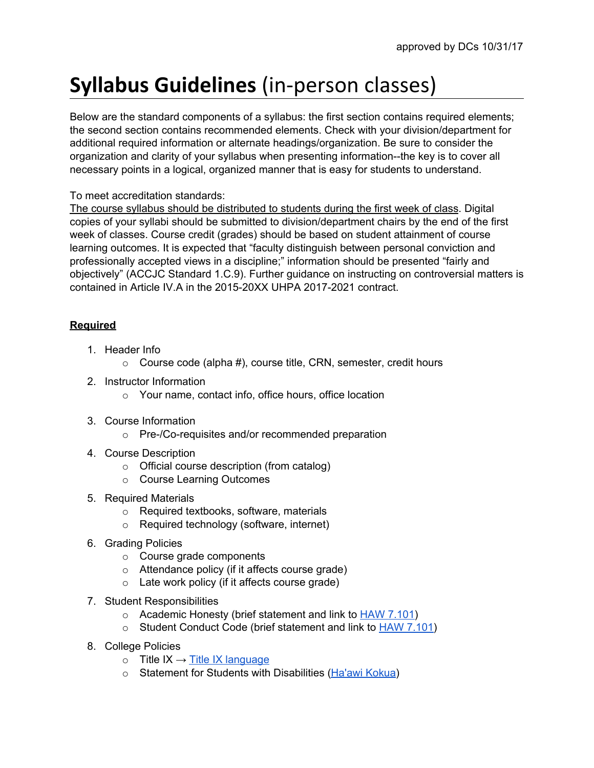## **Syllabus Guidelines** (in-person classes)

Below are the standard components of a syllabus: the first section contains required elements; the second section contains recommended elements. Check with your division/department for additional required information or alternate headings/organization. Be sure to consider the organization and clarity of your syllabus when presenting information--the key is to cover all necessary points in a logical, organized manner that is easy for students to understand.

## To meet accreditation standards:

The course syllabus should be distributed to students during the first week of class. Digital copies of your syllabi should be submitted to division/department chairs by the end of the first week of classes. Course credit (grades) should be based on student attainment of course learning outcomes. It is expected that "faculty distinguish between personal conviction and professionally accepted views in a discipline;" information should be presented "fairly and objectively" (ACCJC Standard 1.C.9). Further guidance on instructing on controversial matters is contained in Article IV.A in the 2015-20XX UHPA 2017-2021 contract.

## **Required**

- 1. Header Info
	- $\circ$  Course code (alpha #), course title, CRN, semester, credit hours
- 2. Instructor Information
	- o Your name, contact info, office hours, office location
- 3. Course Information
	- o Pre-/Co-requisites and/or recommended preparation
- 4. Course Description
	- o Official course description (from catalog)
	- o Course Learning Outcomes
- 5. Required Materials
	- o Required textbooks, software, materials
	- o Required technology (software, internet)
- 6. Grading Policies
	- o Course grade components
	- o Attendance policy (if it affects course grade)
	- o Late work policy (if it affects course grade)
- 7. Student Responsibilities
	- o Academic Honesty (brief statement and link to HAW [7.101\)](http://www.hawaii.hawaii.edu/sites/default/files/assets/ovcadmin/admin-manual/haw7-101.pdf)
	- o Student Conduct Code (brief statement and link to **HAW [7.101](http://www.hawaii.hawaii.edu/sites/default/files/assets/ovcadmin/admin-manual/haw7-101.pdf))**
- 8. College Policies
	- $\circ$  Title IX  $\rightarrow$  Title IX [language](https://drive.google.com/open?id=1OP7QE9BwRcGpte9AZ9N4iyeayZNGefxqiZLxsnvkLTo)
	- o Statement for Students with Disabilities [\(Ha'awi](http://www.hawaii.hawaii.edu/disability-services) Kokua)